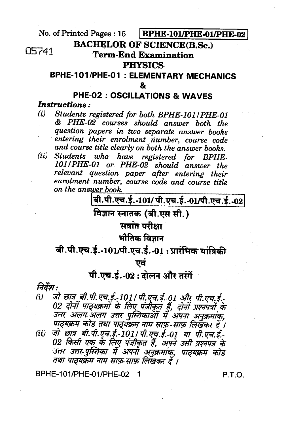No. of Printed Pages: 15 BPHE-101/PHE-01/PHE-02

### **BACHELOR OF SCIENCE(B.Sc.)**

05741

## **Term-End Examination**

### **PHYSICS**

# **BPHE-101/PHE-01: ELEMENTARY MECHANICS**

# **PHE-02: OSCILLATIONS & WAVES**

**Instructions:** 

- Students registered for both BPHE-101/PHE-01  $(i)$ & PHE-02 courses should answer both the question papers in two separate answer books entering their enrolment number, course code and course title clearly on both the answer books.
- Students who have registered for BPHE- $(ii)$ 101/PHE-01 or PHE-02 should answer the relevant question paper after entering their enrolment number, course code and course title on the answer book.

बी.पी.एच.ई.-101/ पी.एच.ई.-01/पी.एच.ई.-02

विज्ञान स्नातक (बी.एस सी.)

# सत्रांत परीक्षा

### भौतिक विज्ञान

# बी.पी.एच.ई.-101/पी.एच.ई.-01 : प्रारंभिक यांत्रिकी

ਾਕਂ

# पी.एच.ई.-02: दोलन और तरंगें

#### निर्देश :

- जो छात्र बी.पी.एच.ई.-101 / पी.एच.ई.-01 और पी.एच.ई.- $(i)$ 02 दोनों पाठ्यक्रमों के लिए पंजीकृत हैं, दोनों प्रश्नपत्रों के उत्तर अलग अलग उत्तर पुस्तिकाओं में अपना अनुक्रमांक. पाठ्यक्रम कोड तथा पाठ्यक्रम नाम साफ़-साफ़ लिखकर दें ।
- जो छात्र बी.पी.एच.ई.-101 / पी.एच.ई.-01 या पी.एच.ई.- $(ii)$ 02 किसी एक के लिए पंजीकृत हैं, अपने उसी प्रश्नपत्र के उत्तर उत्तर-पुस्तिका में अपना अनुक्रमांक, पाठ्यक्रम कोड तथा पाठयक्रम नाम साफ़ साफ़ लिखकर दें ।

BPHE-101/PHE-01/PHF-02 1

P.T.O.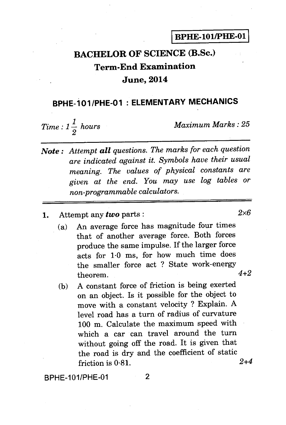# **BACHELOR OF SCIENCE (B.Sc.) Term-End Examination June, 2014**

## **BPHE-101 /PHE-01 : ELEMENTARY MECHANICS**

*Time :*  $1\frac{1}{2}$  *hours 2* 

*Maximum Marks : 25* 

- *Note : Attempt all questions. The marks for each question are indicated against it. Symbols have their usual meaning. The values of physical constants are given at the end. You may use log tables or non-programmable calculators.*
- 1. Attempt any *two* parts :  $2 \times 6$ 
	- (a) An average force has magnitude four times that of another average force. Both forces produce the same impulse. If the larger force acts for 1.0 ms, for how much time does the smaller force act ? State work-energy<br>theorem  $4+2$  $theorem.$
	- (b) A constant force of friction is being exerted on an object. Is it possible for the object to move with a constant velocity ? Explain. A level road has a turn of radius of curvature 100 m. Calculate the maximum speed with which a car can travel around the turn without going off the road. It is given that the road is dry and the coefficient of static friction is 0-81. *2+4*

BPHE-101/PHE-01 2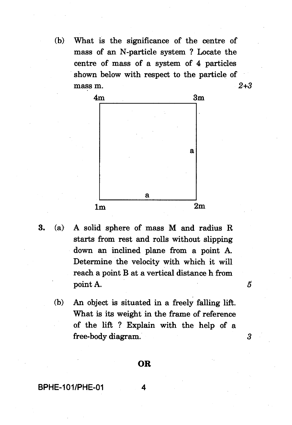(b) What is the significance of the centre of mass of an N-particle system ? Locate the centre of mass of a system of 4 particles shown below with respect to the particle of mass m. *2+3* 



- 3. (a) A solid sphere of mass M and radius R starts from rest and rolls without slipping down an inclined plane from a point A. Determine the velocity with which it will reach a point B at a vertical distance h from point A.
	- (b) An object is situated in a freely falling lift. What is its weight in the frame of reference of the lift ? Explain with the help of a free-body diagram. *3*

5

#### OR

BPHE-101/PHE-01 4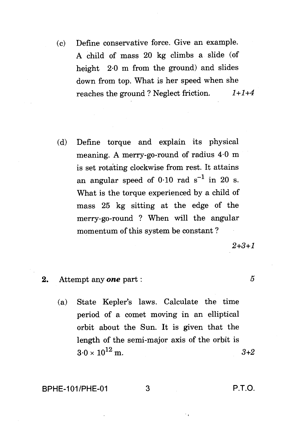- (c) Define conservative force. Give an example. A child of mass 20 kg climbs a slide (of height 2.0 m from the ground) and slides down from top. What is her speed when she reaches the ground ? Neglect friction.  $1+1+4$
- (d) Define torque and explain its physical meaning. A merry-go-round of radius 4.0 m is set rotating clockwise from rest. It attains an angular speed of  $0.10$  rad  $s^{-1}$  in 20 s. What is the torque experienced by a child of mass 25 kg sitting at the edge of the merry-go-round ? When will the angular momentum of this system be constant ?

 $2+3+1$ 

- 2. Attempt any **one** part : 5
	- (a) State Kepler's laws. Calculate the time period of a comet moving in an elliptical orbit about the Sun. It is given that the length of the semi-major axis of the orbit is  $3.0 \times 10^{12}$  m.  $3+2$

#### BPHE-101/PHE-01 3 P.T.O.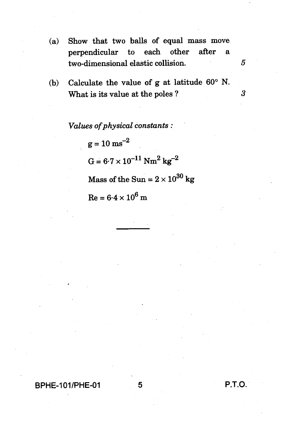- **(a) Show that two balls of equal mass move perpendicular to each other after a two-dimensional elastic collision.** *5*
- **(b) Calculate the value of g at latitude 60° N. What is its value at the poles ?** 3

*Values of physical constants :* 

 $g = 10 \text{ ms}^{-2}$  $G = 6.7 \times 10^{-11} \text{ Nm}^2 \text{ kg}^{-2}$ Mass of the Sun =  $2 \times 10^{30}$  kg  $Re = 6.4 \times 10^6$  m

### **BPHE-101/PHE-01 5 P.T.O.**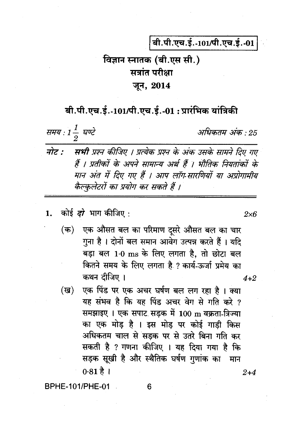बी.पी.एच.ई.-101/पी.एच.ई.-01

# विज्ञान स्नातक (बी.एस सी.) सत्रांत परीक्षा जून, 2014

### बी.पी.एच.ई.-101/पी.एच.ई.-01 : प्रारंभिक यांत्रिकी

समय : 1 $\frac{1}{2}$  घण्टे

अधिकतम् अंक $\cdot$   $25$ 

 $2\times 6$ 

- नोट : सभी प्रश्न कीजिए । प्रत्येक प्रश्न के अंक उसके सामने दिए गए हैं । प्रतीकों के अपने सामान्य अर्थ हैं । भौतिक नियतांकों के मान अंत में दिए गए हैं । आप लॉग सारणियों या अप्रोगामीय कैल्कलेटरों का प्रयोग कर सकते हैं ।
- कोई *दो* भाग कीजिए :  $1.$

एक औसत बल का परिमाण दूसरे औसत बल का चार  $($ क) गुना है । दोनों बल समान आवेग उत्पन्न करते हैं । यदि बड़ा बल 1.0 ms के लिए लगता है, तो छोटा बल कितने समय के लिए लगता है ? कार्य-ऊर्जा प्रमेय का कथन दीजिए ।  $4 + 2$ 

एक पिंड पर एक अचर घर्षण बल लग रहा है। क्या (ख) यह संभव है कि यह पिंड अचर वेग से गति करे ? समझाइए । एक सपाट सड़क में 100 m वक्रता-त्रिज्या का एक मोड़ है । इस मोड़ पर कोई गाड़ी किस अधिकतम चाल से सडक पर से उतरे बिना गति कर सकती है ? गणना कीजिए । यह दिया गया है कि सड़क सूखी है और स्थैतिक घर्षण गुणांक का मान  $0.81 \, \rm \AA$  |  $2 + 4$ 

**BPHE-101/PHE-01** 

6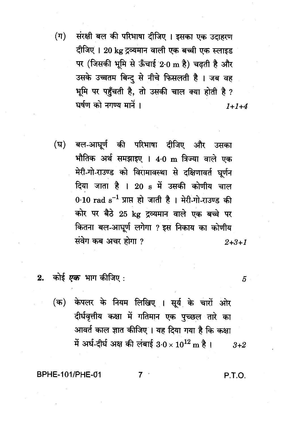$(\pi)$ संरक्षी बल की परिभाषा दीजिए । इसका एक उदाहरण दीजिए । 20 kg द्रव्यमान वाली एक बच्ची एक स्लाइड पर (जिसकी भूमि से ऊँचाई 2.0 m है) चढ़ती है और उसके उच्चतम बिन्द से नीचे फिसलती है। जब वह भूमि पर पहुँचती है, तो उसकी चाल क्या होती है ? घर्षण को नगण्य मानें ।  $1 + 1 + 4$ 

- बल-आघूर्ण की परिभाषा दीजिए और उसका (घ) भौतिक अर्थ समझाइए । 4.0 m त्रिज्या वाले एक मेरी-गो-राउण्ड को विरामावस्था से दक्षिणावर्त घूर्णन दिया जाता है । 20 s में उसकी कोणीय चाल 0.10  $rad s^{-1}$  प्राप्त हो जाती है। मेरी-गो-राउण्ड की कोर पर बैठे 25 kg द्रव्यमान वाले एक बच्चे पर कितना बल-आघूर्ण लगेगा ? इस निकाय का कोणीय संवेग कब अचर होगा ?  $2 + 3 + 1$
- 2. कोई *एक* भाग कीजिए :
	- (क) केपलर के नियम लिखिए । सूर्य के चारों ओर दीर्घवृत्तीय कक्षा में गतिमान एक पुच्छल तारे का आवर्त काल ज्ञात कीजिए । यह दिया गया है कि कक्षा में अर्ध-दीर्घ अक्ष की लंबाई 3.0 ×  $10^{12}$  m है।  $3 + 2$

7

#### BPHE-101/PHE-01

P.T.O.

5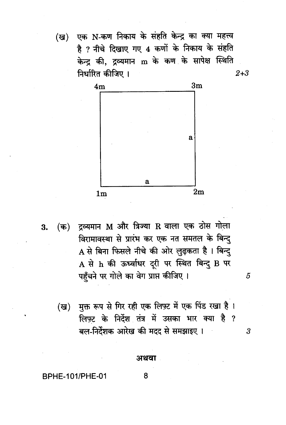(ख)

एक N-कण निकाय के संहति केन्द्र का क्या महत्त्व है ? नीचे दिखाए गए 4 कणों के निकाय के संहति केन्द की, दव्यमान m के कण के सापेक्ष स्थिति निर्धारित कीजिए ।  $2 + 3$ 



- (क) द्रव्यमान M और त्रिज्या R वाला एक ठोस गोला 3. विरामावस्था से प्रारंभ कर एक नत समतल के बिन्दु A से बिना फिसले नीचे की ओर लुढ़कता है। बिन्दु A से h की ऊर्ध्वाधर दूरी पर स्थित बिन्दु B पर पहँचने पर गोले का वेग प्राप्त कीजिए ।
	- (ख) मक्त रूप से गिर रही एक लिफ़्ट में एक पिंड रखा है। लिफ़्ट के निर्देश तंत्र में उसका भार क्या है ? बल-निर्देशक आरेख की मदद से समझाइए ।

5

 $\boldsymbol{3}$ 

#### अथवा

8

**BPHE-101/PHE-01**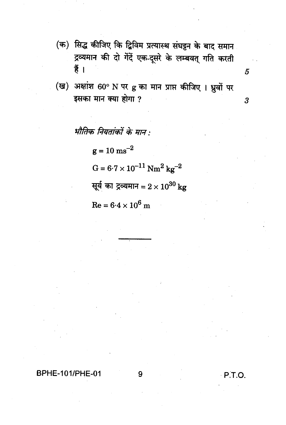(क) सिद्ध कीजिए कि द्विविम प्रत्यास्थ संघट्टन के बाद समान द्रव्यमान की दो गेंदें एक-दूसरे के लम्बवत् गति करती हैं ।

(ख) अक्षांश 60° N पर g का मान प्राप्त कीजिए । ध्रुवों पर इसका मान क्या होगा ?

भौतिक नियतांकों के मान :

 $g = 10 \text{ ms}^{-2}$  $G = 6{\cdot}7 \times 10^{-11}~\mathrm{Nm}^2~\mathrm{kg}^{-2}$ सूर्य का द्रव्यमान =  $2 \times 10^{30}$  kg  $Re = 6.4 \times 10^6$  m

### **BPHE-101/PHE-01**

P.T.O.

 $\overline{5}$ 

 $\boldsymbol{\beta}$ 

9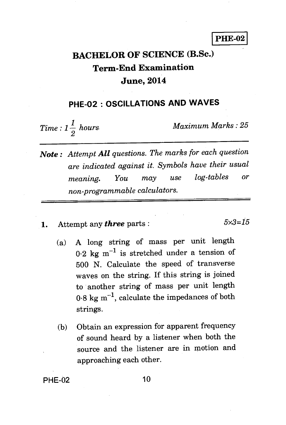PHE-02

# **BACHELOR OF SCIENCE (B.Sc.) Term-End Examination June, 2014**

### **PHE-02 : OSCILLATIONS AND WAVES**

 $Time: 1\frac{1}{2}$  hours *2* 

*Maximum Marks : 25* 

*Note : Attempt All questions. The marks for each question are indicated against it. Symbols have their usual meaning. You may use log-tables or non-programmable calculators.* 

1. Attempt any *three* parts :  $5 \times 3 = 15$ 

- (a) A long string of mass per unit length  $0.2 \text{ kg m}^{-1}$  is stretched under a tension of 500 N. Calculate the speed of transverse waves on the string. If this string is joined to another string of mass per unit length  $0.8 \text{ kg m}^{-1}$ , calculate the impedances of both strings.
- (b) Obtain an expression for apparent frequency of sound heard by a listener when both the source and the listener are in motion and approaching each other.

**PHF-02** 10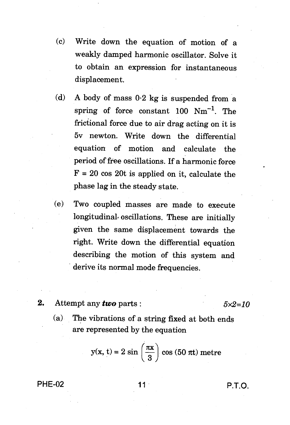- (c) Write down the equation of motion of a weakly damped harmonic oscillator. Solve it to obtain an expression for instantaneous displacement.
- (d) A body of mass 0.2 kg is suspended from a spring of force constant 100  $Nm^{-1}$ . The frictional force due to air drag acting on it is 5v newton. Write down the differential equation of motion and calculate the period of free oscillations. If a harmonic force  $F = 20 \cos 20t$  is applied on it, calculate the phase lag in the steady state.
- (e) Two coupled masses are made to execute longitudinal oscillations. These are initially given the same displacement towards the right. Write down the differential equation describing the motion of this system and derive its normal mode frequencies.

#### 2. Attempt any *two* parts :  $5 \times 2 = 10$

(a) The vibrations of a string fixed at both ends are represented by the equation

$$
y(x, t) = 2 \sin \left(\frac{\pi x}{3}\right) \cos (50 \pi t) \text{ metre}
$$

PHE-02 11 P.T.O.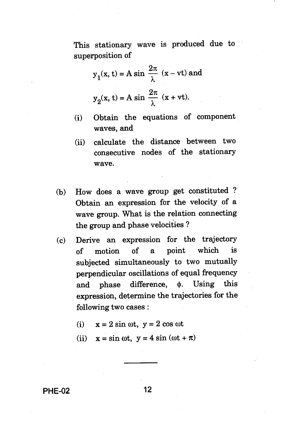This stationary wave is produced due to superposition of

$$
y_1(x, t) = A \sin \frac{2\pi}{\lambda} (x - vt)
$$
 and  
 $y_2(x, t) = A \sin \frac{2\pi}{\lambda} (x + vt)$ .

- (i) Obtain the equations of component waves, and
- (ii) calculate the distance between two consecutive nodes of the stationary wave.
- (b) How does a wave group get constituted ? Obtain an expression for the velocity of a wave group. What is the relation connecting the group and phase velocities ?
- (c) Derive an expression for the trajectory of motion of a point which is subjected simultaneously to two mutually perpendicular oscillations of equal frequency and phase difference,  $\phi$ . Using this expression, determine the trajectories for the following two cases :
	- (i)  $x = 2 \sin \omega t$ ,  $y = 2 \cos \omega t$
	- (ii)  $x = \sin \omega t$ ,  $y = 4 \sin (\omega t + \pi)$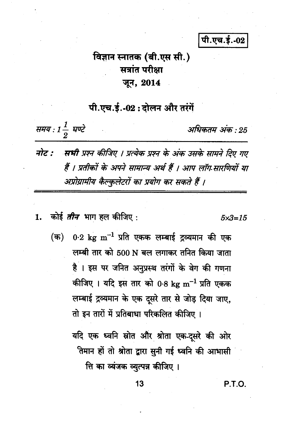पी.एच.ई.-02

# विज्ञान स्नातक (बी.एस सी.) सत्रांत परीक्षा जून, 2014

पी.एच.ई.-02:दोलन और तरंगें

समय : 1 $\frac{1}{2}$  घण्टे

अधिकतम अंक : 25

- नोट : सभी प्रश्न कीजिए । प्रत्येक प्रश्न के अंक उसके सामने दिए गए हैं । प्रतीकों के अपने सामान्य अर्थ हैं । आप लॉग सारणियों या अप्रोग्रामीय कैल्कुलेटरों का प्रयोग कर सकते हैं ।
- कोई *तीन* भाग हल कीजिए : 1.

 $5 \times 3 = 15$ 

 $0.2~{\rm kg~m^{-1}}$  प्रति एकक लम्बाई द्रव्यमान की एक (क) लम्बी तार को 500 N बल लगाकर तनित किया जाता है । इस पर जनित अनुप्रस्थ तरंगों के वेग की गणना कीजिए । यदि इस तार को 0.8 kg m<sup>-1</sup> प्रति एकक लम्बाई द्रव्यमान के एक दूसरे तार से जोड़ दिया जाए, तो इन तारों में प्रतिबाधा परिकलित कीजिए ।

> यदि एक ध्वनि स्रोत और श्रोता एक-दूसरे की ओर तिमान हों तो श्रोता द्वारा सुनी गई ध्वनि की आभासी

त्ति का व्यंजक व्युत्पन्न कीजिए ।

P.T.O.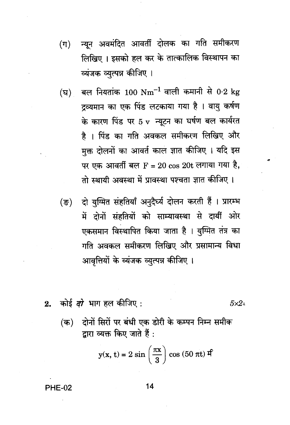- न्यून अवमंदित आवर्ती दोलक का गति समीकरण  $(\pi)$ लिखिए। इसको हल कर के तात्कालिक विस्थापन का व्यंजक व्युत्पन्न कीजिए ।
- बल नियतांक 100  $\mathrm{Nm}^{-1}$  वाली कमानी से 0.2 kg (घ) द्रव्यमान का एक पिंड लटकाया गया है । वायु कर्षण के कारण पिंड पर 5 v न्यूटन का घर्षण बल कार्यरत है । पिंड का गति अवकल समीकरण लिखिए और मक्त दोलनों का आवर्त काल ज्ञात कीजिए । यदि इस पर एक आवर्ती बल  $\mathbf{F} = 20 \cos 20 \mathbf{t}$  लगाया गया है, तो स्थायी अवस्था में प्रावस्था पश्चता ज्ञात कीजिए ।
- दो युग्मित संहतियाँ अनुदैर्घ्य दोलन करती हैं । प्रारम्भ  $(\overline{S})$ में दोनों संहतियों को साम्यावस्था से दायीं ओर एकसमान विस्थापित किया जाता है । युग्मित तंत्र का गति अवकल समीकरण लिखिए और प्रसामान्य विधा आवृत्तियों के व्यंजक व्युत्पन्न कीजिए ।
- कोई *दो* भाग हल कीजिए :  $2.$ 
	- दोनों सिरों पर बंधी एक डोरी के कम्पन निम्न समीक (क) द्वारा व्यक्त किए जाते हैं :

$$
y(x, t) = 2 \sin\left(\frac{\pi x}{3}\right) \cos(50 \pi t) \mathbf{f}
$$

#### **PHE-02**

14

 $5\times2$